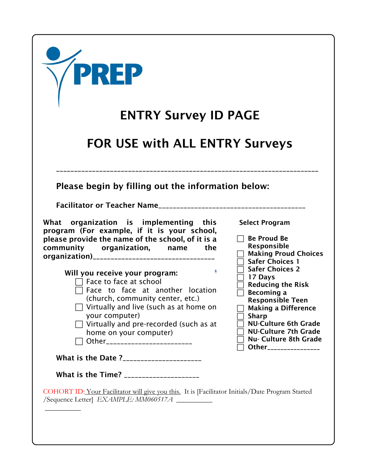| <b>/PREP</b>                                                                                                                                                                                                                    |                                                                                                                                                      |
|---------------------------------------------------------------------------------------------------------------------------------------------------------------------------------------------------------------------------------|------------------------------------------------------------------------------------------------------------------------------------------------------|
| <b>ENTRY Survey ID PAGE</b>                                                                                                                                                                                                     |                                                                                                                                                      |
| <b>FOR USE with ALL ENTRY Surveys</b>                                                                                                                                                                                           |                                                                                                                                                      |
| Please begin by filling out the information below:                                                                                                                                                                              |                                                                                                                                                      |
| What organization is implementing this<br>program (For example, if it is your school,<br>please provide the name of the school, of it is a<br>community organization, name the<br>organization)________________________________ | <b>Select Program</b><br><b>Be Proud Be</b><br>Responsible<br><b>Making Proud Choices</b><br><b>Safer Choices 1</b>                                  |
| Will you receive your program:<br>Face to face at school<br>Face to face at another location<br>(church, community center, etc.)<br>Virtually and live (such as at home on<br>your computer)                                    | <b>Safer Choices 2</b><br>17 Days<br><b>Reducing the Risk</b><br>Becoming a<br><b>Responsible Teen</b><br><b>Making a Difference</b><br><b>Sharp</b> |
| Virtually and pre-recorded (such as at<br>home on your computer)<br>Other_________________________<br>What is the Date ?_____________________                                                                                   | <b>NU-Culture 6th Grade</b><br><b>NU-Culture 7th Grade</b><br><b>Nu- Culture 8th Grade</b><br>Other________________                                  |
| What is the Time? _____________________                                                                                                                                                                                         |                                                                                                                                                      |
| COHORT ID: Your Facilitator will give you this. It is [Facilitator Initials/Date Program Started<br>/Sequence Letter EXAMPLE: MM060517A                                                                                         |                                                                                                                                                      |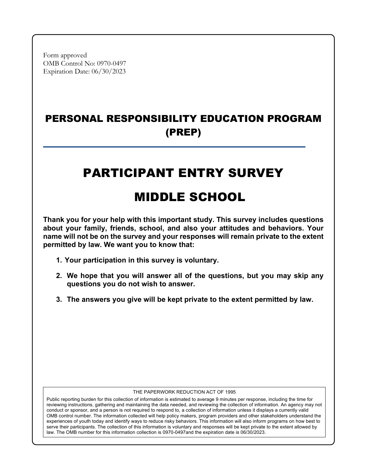Form approved OMB Control No: 0970-0497 Expiration Date: 06/30/2023

# PERSONAL RESPONSIBILITY EDUCATION PROGRAM (PREP)

# PARTICIPANT ENTRY SURVEY

# MIDDLE SCHOOL

**Thank you for your help with this important study. This survey includes questions about your family, friends, school, and also your attitudes and behaviors. Your name will not be on the survey and your responses will remain private to the extent permitted by law. We want you to know that:**

- **1. Your participation in this survey is voluntary.**
- **2. We hope that you will answer all of the questions, but you may skip any questions you do not wish to answer.**
- **3. The answers you give will be kept private to the extent permitted by law.**

#### THE PAPERWORK REDUCTION ACT OF 1995

Public reporting burden for this collection of information is estimated to average 9 minutes per response, including the time for reviewing instructions, gathering and maintaining the data needed, and reviewing the collection of information. An agency may not conduct or sponsor, and a person is not required to respond to, a collection of information unless it displays a currently valid OMB control number. The information collected will help policy makers, program providers and other stakeholders understand the experiences of youth today and identify ways to reduce risky behaviors. This information will also inform programs on how best to serve their participants. The collection of this information is voluntary and responses will be kept private to the extent allowed by law. The OMB number for this information collection is 0970-0497and the expiration date is 06/30/2023.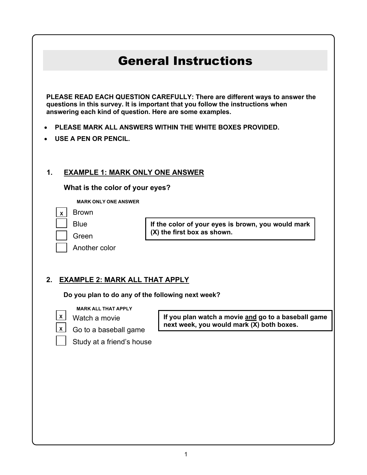# General Instructions

**PLEASE READ EACH QUESTION CAREFULLY: There are different ways to answer the questions in this survey. It is important that you follow the instructions when answering each kind of question. Here are some examples.**

- **PLEASE MARK ALL ANSWERS WITHIN THE WHITE BOXES PROVIDED.**
- **USE A PEN OR PENCIL.**

### **1. EXAMPLE 1: MARK ONLY ONE ANSWER**

**What is the color of your eyes?**

**MARK ONLY ONE ANSWER**

Brown **X**

| Blue  |
|-------|
| Green |

**If the color of your eyes is brown, you would mark (X) the first box as shown.**

### **2. EXAMPLE 2: MARK ALL THAT APPLY**

**Do you plan to do any of the following next week?**

**MARK ALL THAT APPLY**

Another color



**If you plan watch a movie and go to a baseball game next week, you would mark (X) both boxes.**

Study at a friend's house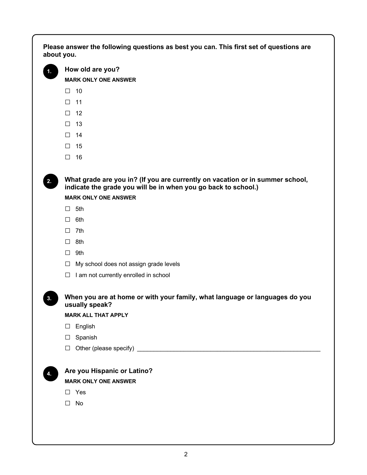**Please answer the following questions as best you can. This first set of questions are about you.**



**2.**

**1. How old are you?**

**MARK ONLY ONE ANSWER**

- $\Box$  10
- □ <sup>11</sup>
- □ <sup>12</sup>
- □ <sup>13</sup>
- □ <sup>14</sup>
- □ <sup>15</sup>
- □ 16

**What grade are you in? (If you are currently on vacation or in summer school, indicate the grade you will be in when you go back to school.)**

**MARK ONLY ONE ANSWER**

- □ 5th
- □ 6th
- □ 7th
- □ 8th
- □ 9th
- □ My school does not assign grade levels
- $\Box$  I am not currently enrolled in school

**When you are at home or with your family, what language or languages do you usually speak?**

**MARK ALL THAT APPLY**

- □ English
- □ Spanish
- $\Box$  Other (please specify)  $\Box$

**3.**

**Are you Hispanic or Latino?**

**MARK ONLY ONE ANSWER** 

□ Yes

□ No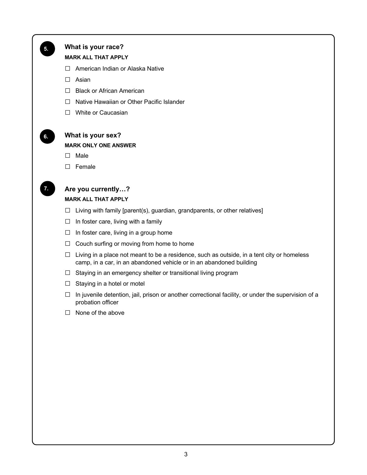

### **What is your race?**

#### **MARK ALL THAT APPLY**

- □ American Indian or Alaska Native
- □ Asian
- □ Black or African American
- □ Native Hawaiian or Other Pacific Islander
- □ White or Caucasian



### **What is your sex?**

#### **MARK ONLY ONE ANSWER**

- **□** Male
- **□** Female



### **Are you currently…? MARK ALL THAT APPLY**

- $\Box$  Living with family [parent(s), guardian, grandparents, or other relatives]
- $\square$  In foster care, living with a family
- $\Box$  In foster care, living in a group home
- □ Couch surfing or moving from home to home
- $\Box$  Living in a place not meant to be a residence, such as outside, in a tent city or homeless camp, in a car, in an abandoned vehicle or in an abandoned building
- □ Staying in an emergency shelter or transitional living program
- $\Box$  Staying in a hotel or motel
- $\Box$  In juvenile detention, jail, prison or another correctional facility, or under the supervision of a probation officer
- □ None of the above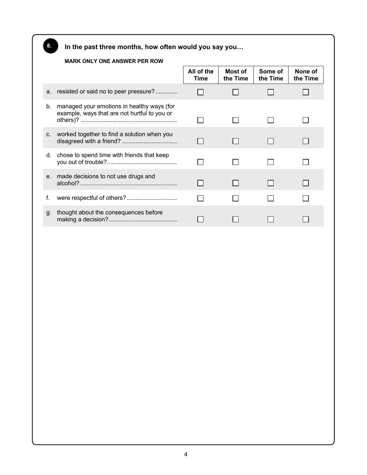**In the past three months, how often would you say you…**

### **MARK ONLY ONE ANSWER PER ROW**

**8.**

|         |                                                                                            | All of the<br><b>Time</b> | Most of<br>the Time | Some of<br>the Time | None of<br>the Time |
|---------|--------------------------------------------------------------------------------------------|---------------------------|---------------------|---------------------|---------------------|
| a.      | resisted or said no to peer pressure?                                                      |                           |                     |                     |                     |
| b.      | managed your emotions in healthy ways (for<br>example, ways that are not hurtful to you or |                           |                     |                     |                     |
| C.      | worked together to find a solution when you                                                |                           |                     |                     |                     |
| d.      | chose to spend time with friends that keep                                                 |                           |                     |                     |                     |
| $e_{1}$ | made decisions to not use drugs and                                                        |                           |                     |                     |                     |
| f.      |                                                                                            |                           |                     |                     |                     |
| g.      | thought about the consequences before                                                      |                           |                     |                     |                     |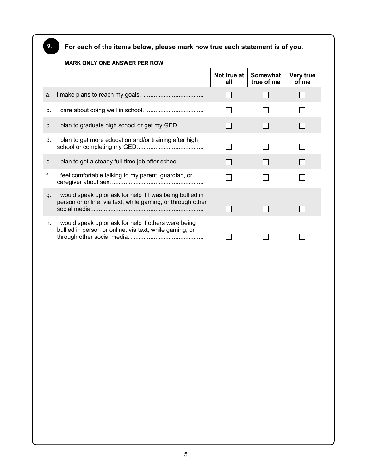**For each of the items below, please mark how true each statement is of you.**

**9.**

#### **MARK ONLY ONE ANSWER PER ROW Not true at Somewhat Very true all true of me of me**  a. I make plans to reach my goals. ....................................  $\Box$  $\Box$  $\Box$ b. I care about doing well in school. ..................................  $\Box$  $\Box$  $\Box$ c. I plan to graduate high school or get my GED. ..............  $\Box$ П  $\Box$ d. I plan to get more education and/or training after high school or completing my GED........................................ П  $\Box$ П e. I plan to get a steady full-time job after school ...............  $\Box$  $\Box$  $\Box$ f. I feel comfortable talking to my parent, guardian, or П  $\Box$ П caregiver about sex. ....................................................... g. I would speak up or ask for help if I was being bullied in person or online, via text, while gaming, or through other  $\Box$  $\Box$ social media.................................................................... П h. I would speak up or ask for help if others were being bullied in person or online, via text, while gaming, or through other social media. ............................................  $\Box$  $\Box$ П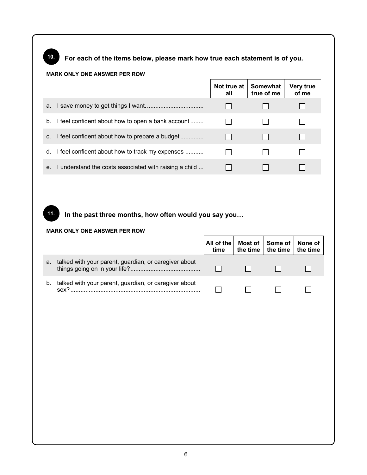# **10.**

**11.**

**For each of the items below, please mark how true each statement is of you.**

### **MARK ONLY ONE ANSWER PER ROW**

|                |                                                        | all | Not true at   Somewhat<br>true of me | <b>Very true</b><br>of me |
|----------------|--------------------------------------------------------|-----|--------------------------------------|---------------------------|
| a.             |                                                        |     |                                      |                           |
| b.             | I feel confident about how to open a bank account      |     |                                      |                           |
| C <sub>1</sub> | I feel confident about how to prepare a budget         |     |                                      |                           |
| d.             | I feel confident about how to track my expenses        |     |                                      |                           |
| е.             | I understand the costs associated with raising a child |     |                                      |                           |

## **In the past three months, how often would you say you…**

#### **MARK ONLY ONE ANSWER PER ROW**

|    |                                                                           | time | All of the   Most of   Some of   None of<br>the time   the time   the time |  |
|----|---------------------------------------------------------------------------|------|----------------------------------------------------------------------------|--|
| a. | talked with your parent, guardian, or caregiver about                     |      |                                                                            |  |
| b. | talked with your parent, guardian, or caregiver about<br>sex <sup>2</sup> |      |                                                                            |  |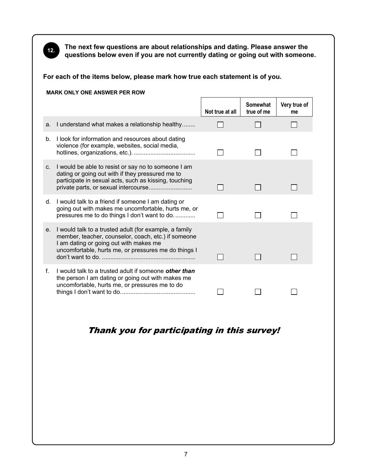

**The next few questions are about relationships and dating. Please answer the questions below even if you are not currently dating or going out with someone.**

**For each of the items below, please mark how true each statement is of you.**

|    | <b>MARK ONLY ONE ANSWER PER ROW</b>                                                                                                                                                                             |                 |                        |                    |
|----|-----------------------------------------------------------------------------------------------------------------------------------------------------------------------------------------------------------------|-----------------|------------------------|--------------------|
|    |                                                                                                                                                                                                                 | Not true at all | Somewhat<br>true of me | Very true of<br>me |
| a. | I understand what makes a relationship healthy                                                                                                                                                                  |                 |                        |                    |
| b. | I look for information and resources about dating<br>violence (for example, websites, social media,                                                                                                             |                 |                        |                    |
| C. | I would be able to resist or say no to someone I am<br>dating or going out with if they pressured me to<br>participate in sexual acts, such as kissing, touching<br>private parts, or sexual intercourse        |                 |                        |                    |
| d. | I would talk to a friend if someone I am dating or<br>going out with makes me uncomfortable, hurts me, or<br>pressures me to do things I don't want to do                                                       |                 |                        |                    |
| е. | I would talk to a trusted adult (for example, a family<br>member, teacher, counselor, coach, etc.) if someone<br>I am dating or going out with makes me<br>uncomfortable, hurts me, or pressures me do things I |                 |                        |                    |
| f. | I would talk to a trusted adult if someone <b>other than</b><br>the person I am dating or going out with makes me<br>uncomfortable, hurts me, or pressures me to do                                             |                 |                        |                    |

# Thank you for participating in this survey!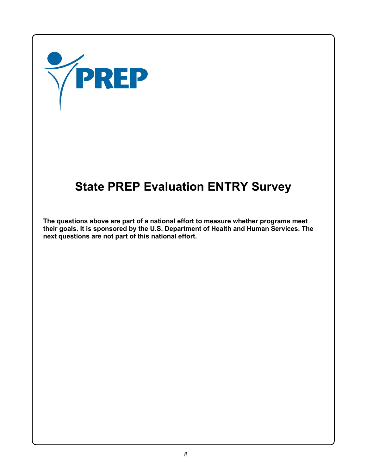

# **State PREP Evaluation ENTRY Survey**

**The questions above are part of a national effort to measure whether programs meet their goals. It is sponsored by the U.S. Department of Health and Human Services. The next questions are not part of this national effort.**